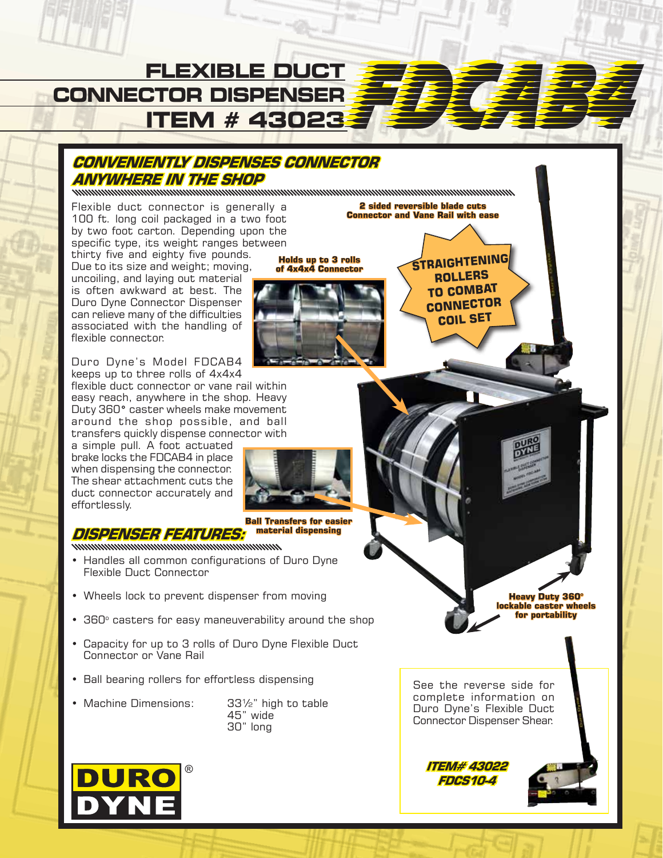

Duro Dyne's Model FDCAB4 keeps up to three rolls of 4x4x4

a simple pull. A foot actuated brake locks the FDCAB4 in place when dispensing the connector. The shear attachment cuts the duct connector accurately and effortlessly.

## **DISPENSER FEATURES:**

- Handles all common configurations of Duro Dyne
- Wheels lock to prevent dispenser from moving
- 360° casters for easy maneuverability around the shop
- 
- 
- 
-